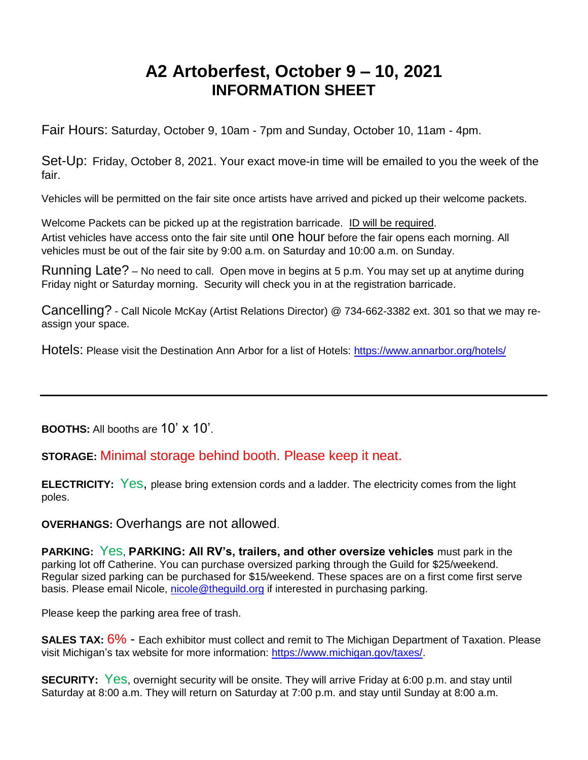# **A2 Artoberfest, October 9 – 10, 2021 INFORMATION SHEET**

Fair Hours: Saturday, October 9, 10am - 7pm and Sunday, October 10, 11am - 4pm.

Set-Up: Friday, October 8, 2021. Your exact move-in time will be emailed to you the week of the fair.

Vehicles will be permitted on the fair site once artists have arrived and picked up their welcome packets.

Welcome Packets can be picked up at the registration barricade. ID will be required. Artist vehicles have access onto the fair site until One hour before the fair opens each morning. All vehicles must be out of the fair site by 9:00 a.m. on Saturday and 10:00 a.m. on Sunday.

Running Late? – No need to call. Open move in begins at 5 p.m. You may set up at anytime during Friday night or Saturday morning. Security will check you in at the registration barricade.

Cancelling? - Call Nicole McKay (Artist Relations Director) @ 734-662-3382 ext. 301 so that we may reassign your space.

Hotels: Please visit the Destination Ann Arbor for a list of Hotels:<https://www.annarbor.org/hotels/>

**BOOTHS:** All booths are 10' x 10'.

**STORAGE:** Minimal storage behind booth. Please keep it neat.

**ELECTRICITY:** Yes, please bring extension cords and a ladder. The electricity comes from the light poles.

**OVERHANGS:** Overhangs are not allowed.

**PARKING:** Yes, **PARKING: All RV's, trailers, and other oversize vehicles** must park in the parking lot off Catherine. You can purchase oversized parking through the Guild for \$25/weekend. Regular sized parking can be purchased for \$15/weekend. These spaces are on a first come first serve basis. Please email Nicole, [nicole@theguild.org](mailto:nicole@theguild.org) if interested in purchasing parking.

Please keep the parking area free of trash.

**SALES TAX:**  $6\%$  **- Each exhibitor must collect and remit to The Michigan Department of Taxation. Please** visit Michigan's tax website for more information: [https://www.michigan.gov/taxes/.](https://www.michigan.gov/taxes/)

**SECURITY:** Yes, overnight security will be onsite. They will arrive Friday at 6:00 p.m. and stay until Saturday at 8:00 a.m. They will return on Saturday at 7:00 p.m. and stay until Sunday at 8:00 a.m.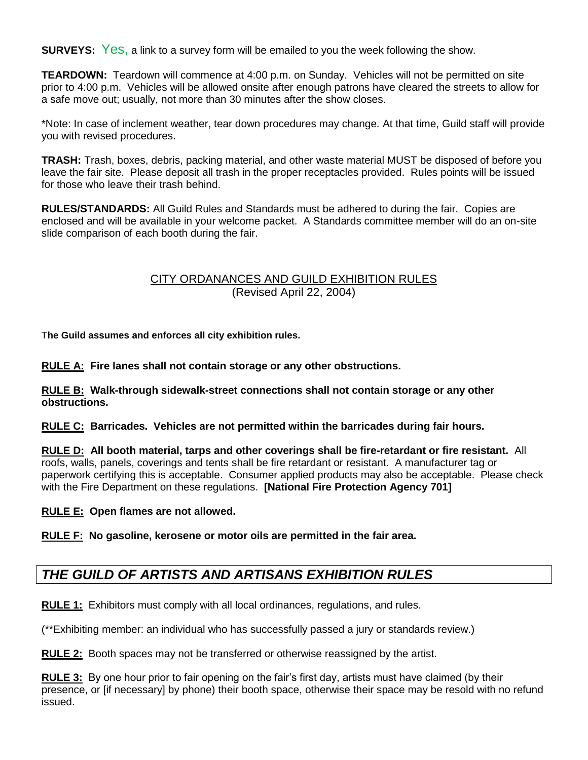**SURVEYS:** Yes, a link to a survey form will be emailed to you the week following the show.

**TEARDOWN:** Teardown will commence at 4:00 p.m. on Sunday. Vehicles will not be permitted on site prior to 4:00 p.m. Vehicles will be allowed onsite after enough patrons have cleared the streets to allow for a safe move out; usually, not more than 30 minutes after the show closes.

\*Note: In case of inclement weather, tear down procedures may change. At that time, Guild staff will provide you with revised procedures.

**TRASH:** Trash, boxes, debris, packing material, and other waste material MUST be disposed of before you leave the fair site. Please deposit all trash in the proper receptacles provided. Rules points will be issued for those who leave their trash behind.

**RULES/STANDARDS:** All Guild Rules and Standards must be adhered to during the fair. Copies are enclosed and will be available in your welcome packet. A Standards committee member will do an on-site slide comparison of each booth during the fair.

## CITY ORDANANCES AND GUILD EXHIBITION RULES (Revised April 22, 2004)

T**he Guild assumes and enforces all city exhibition rules.**

**RULE A: Fire lanes shall not contain storage or any other obstructions.** 

**RULE B: Walk-through sidewalk-street connections shall not contain storage or any other obstructions.** 

**RULE C: Barricades. Vehicles are not permitted within the barricades during fair hours.** 

**RULE D: All booth material, tarps and other coverings shall be fire-retardant or fire resistant.** All roofs, walls, panels, coverings and tents shall be fire retardant or resistant. A manufacturer tag or paperwork certifying this is acceptable. Consumer applied products may also be acceptable. Please check with the Fire Department on these regulations. **[National Fire Protection Agency 701]**

**RULE E: Open flames are not allowed.** 

**RULE F: No gasoline, kerosene or motor oils are permitted in the fair area.** 

## *THE GUILD OF ARTISTS AND ARTISANS EXHIBITION RULES*

**RULE 1:** Exhibitors must comply with all local ordinances, regulations, and rules.

(\*\*Exhibiting member: an individual who has successfully passed a jury or standards review.)

**RULE 2:** Booth spaces may not be transferred or otherwise reassigned by the artist.

**RULE 3:** By one hour prior to fair opening on the fair's first day, artists must have claimed (by their presence, or [if necessary] by phone) their booth space, otherwise their space may be resold with no refund issued.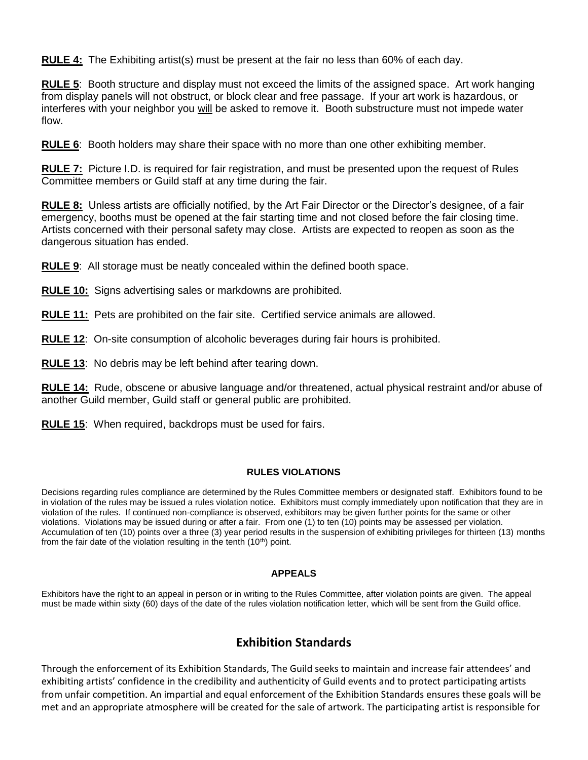**RULE 4:** The Exhibiting artist(s) must be present at the fair no less than 60% of each day.

**RULE 5**: Booth structure and display must not exceed the limits of the assigned space. Art work hanging from display panels will not obstruct, or block clear and free passage. If your art work is hazardous, or interferes with your neighbor you will be asked to remove it. Booth substructure must not impede water flow.

**RULE 6**: Booth holders may share their space with no more than one other exhibiting member.

**RULE 7:** Picture I.D. is required for fair registration, and must be presented upon the request of Rules Committee members or Guild staff at any time during the fair.

**RULE 8:** Unless artists are officially notified, by the Art Fair Director or the Director's designee, of a fair emergency, booths must be opened at the fair starting time and not closed before the fair closing time. Artists concerned with their personal safety may close. Artists are expected to reopen as soon as the dangerous situation has ended.

**RULE 9**: All storage must be neatly concealed within the defined booth space.

**RULE 10:** Signs advertising sales or markdowns are prohibited.

**RULE 11:** Pets are prohibited on the fair site. Certified service animals are allowed.

**RULE 12**: On-site consumption of alcoholic beverages during fair hours is prohibited.

**RULE 13**: No debris may be left behind after tearing down.

**RULE 14:** Rude, obscene or abusive language and/or threatened, actual physical restraint and/or abuse of another Guild member, Guild staff or general public are prohibited.

**RULE 15**: When required, backdrops must be used for fairs.

#### **RULES VIOLATIONS**

Decisions regarding rules compliance are determined by the Rules Committee members or designated staff. Exhibitors found to be in violation of the rules may be issued a rules violation notice. Exhibitors must comply immediately upon notification that they are in violation of the rules. If continued non-compliance is observed, exhibitors may be given further points for the same or other violations. Violations may be issued during or after a fair. From one (1) to ten (10) points may be assessed per violation. Accumulation of ten (10) points over a three (3) year period results in the suspension of exhibiting privileges for thirteen (13) months from the fair date of the violation resulting in the tenth  $(10<sup>th</sup>)$  point.

#### **APPEALS**

Exhibitors have the right to an appeal in person or in writing to the Rules Committee, after violation points are given. The appeal must be made within sixty (60) days of the date of the rules violation notification letter, which will be sent from the Guild office.

#### **Exhibition Standards**

Through the enforcement of its Exhibition Standards, The Guild seeks to maintain and increase fair attendees' and exhibiting artists' confidence in the credibility and authenticity of Guild events and to protect participating artists from unfair competition. An impartial and equal enforcement of the Exhibition Standards ensures these goals will be met and an appropriate atmosphere will be created for the sale of artwork. The participating artist is responsible for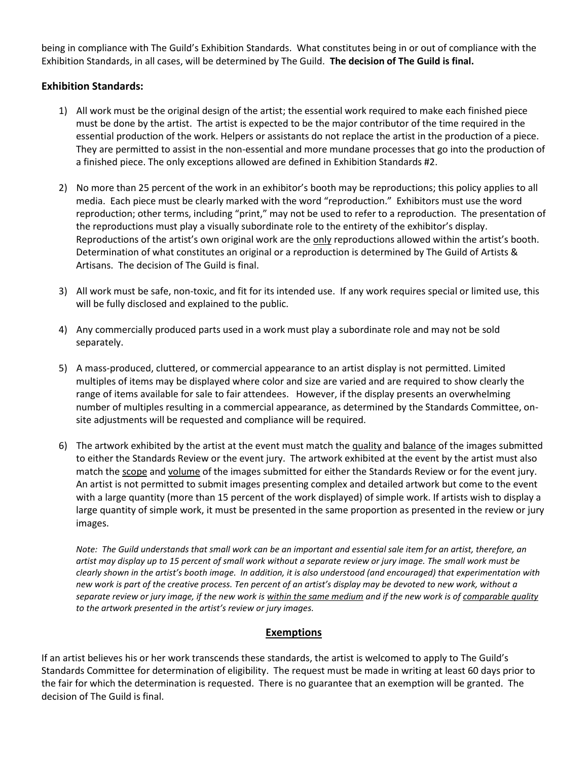being in compliance with The Guild's Exhibition Standards. What constitutes being in or out of compliance with the Exhibition Standards, in all cases, will be determined by The Guild. **The decision of The Guild is final.**

## **Exhibition Standards:**

- 1) All work must be the original design of the artist; the essential work required to make each finished piece must be done by the artist. The artist is expected to be the major contributor of the time required in the essential production of the work. Helpers or assistants do not replace the artist in the production of a piece. They are permitted to assist in the non-essential and more mundane processes that go into the production of a finished piece. The only exceptions allowed are defined in Exhibition Standards #2.
- 2) No more than 25 percent of the work in an exhibitor's booth may be reproductions; this policy applies to all media. Each piece must be clearly marked with the word "reproduction." Exhibitors must use the word reproduction; other terms, including "print," may not be used to refer to a reproduction. The presentation of the reproductions must play a visually subordinate role to the entirety of the exhibitor's display. Reproductions of the artist's own original work are the only reproductions allowed within the artist's booth. Determination of what constitutes an original or a reproduction is determined by The Guild of Artists & Artisans. The decision of The Guild is final.
- 3) All work must be safe, non-toxic, and fit for its intended use. If any work requires special or limited use, this will be fully disclosed and explained to the public.
- 4) Any commercially produced parts used in a work must play a subordinate role and may not be sold separately.
- 5) A mass-produced, cluttered, or commercial appearance to an artist display is not permitted. Limited multiples of items may be displayed where color and size are varied and are required to show clearly the range of items available for sale to fair attendees. However, if the display presents an overwhelming number of multiples resulting in a commercial appearance, as determined by the Standards Committee, onsite adjustments will be requested and compliance will be required.
- 6) The artwork exhibited by the artist at the event must match the quality and balance of the images submitted to either the Standards Review or the event jury. The artwork exhibited at the event by the artist must also match the scope and volume of the images submitted for either the Standards Review or for the event jury. An artist is not permitted to submit images presenting complex and detailed artwork but come to the event with a large quantity (more than 15 percent of the work displayed) of simple work. If artists wish to display a large quantity of simple work, it must be presented in the same proportion as presented in the review or jury images.

*Note: The Guild understands that small work can be an important and essential sale item for an artist, therefore, an artist may display up to 15 percent of small work without a separate review or jury image. The small work must be clearly shown in the artist's booth image. In addition, it is also understood (and encouraged) that experimentation with new work is part of the creative process. Ten percent of an artist's display may be devoted to new work, without a separate review or jury image, if the new work is within the same medium and if the new work is of comparable quality to the artwork presented in the artist's review or jury images.* 

#### **Exemptions**

If an artist believes his or her work transcends these standards, the artist is welcomed to apply to The Guild's Standards Committee for determination of eligibility. The request must be made in writing at least 60 days prior to the fair for which the determination is requested. There is no guarantee that an exemption will be granted. The decision of The Guild is final.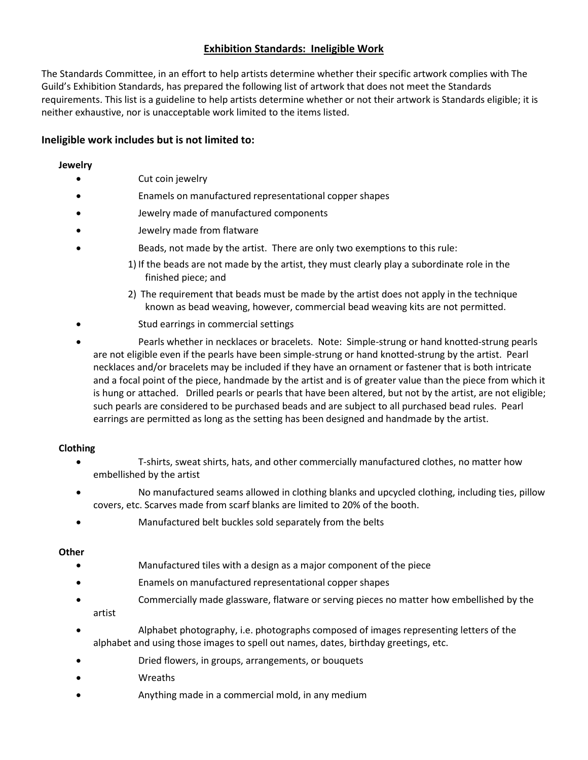## **Exhibition Standards: Ineligible Work**

The Standards Committee, in an effort to help artists determine whether their specific artwork complies with The Guild's Exhibition Standards, has prepared the following list of artwork that does not meet the Standards requirements. This list is a guideline to help artists determine whether or not their artwork is Standards eligible; it is neither exhaustive, nor is unacceptable work limited to the items listed.

#### **Ineligible work includes but is not limited to:**

#### **Jewelry**

- Cut coin jewelry
- Enamels on manufactured representational copper shapes
- Jewelry made of manufactured components
- Jewelry made from flatware
- Beads, not made by the artist. There are only two exemptions to this rule:
	- 1) If the beads are not made by the artist, they must clearly play a subordinate role in the finished piece; and
		- 2) The requirement that beads must be made by the artist does not apply in the technique known as bead weaving, however, commercial bead weaving kits are not permitted.
- Stud earrings in commercial settings
- Pearls whether in necklaces or bracelets. Note: Simple-strung or hand knotted-strung pearls are not eligible even if the pearls have been simple-strung or hand knotted-strung by the artist. Pearl necklaces and/or bracelets may be included if they have an ornament or fastener that is both intricate and a focal point of the piece, handmade by the artist and is of greater value than the piece from which it is hung or attached. Drilled pearls or pearls that have been altered, but not by the artist, are not eligible; such pearls are considered to be purchased beads and are subject to all purchased bead rules. Pearl earrings are permitted as long as the setting has been designed and handmade by the artist.

#### **Clothing**

- T-shirts, sweat shirts, hats, and other commercially manufactured clothes, no matter how embellished by the artist
- No manufactured seams allowed in clothing blanks and upcycled clothing, including ties, pillow covers, etc. Scarves made from scarf blanks are limited to 20% of the booth.
- Manufactured belt buckles sold separately from the belts

#### **Other**

- Manufactured tiles with a design as a major component of the piece
- Enamels on manufactured representational copper shapes
- Commercially made glassware, flatware or serving pieces no matter how embellished by the artist
- Alphabet photography, i.e. photographs composed of images representing letters of the alphabet and using those images to spell out names, dates, birthday greetings, etc.
- Dried flowers, in groups, arrangements, or bouquets
- Wreaths
- Anything made in a commercial mold, in any medium